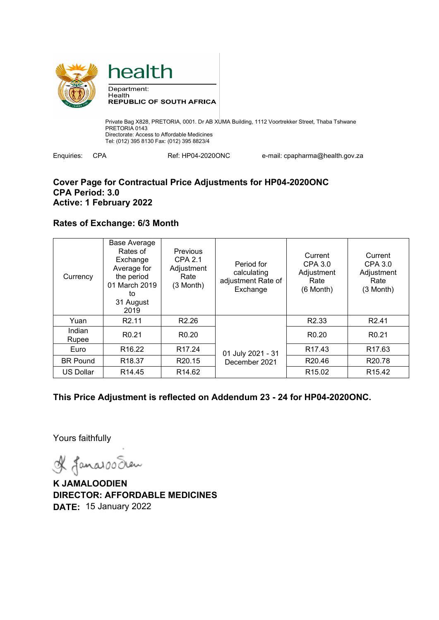



Private Bag X828, PRETORIA, 0001. Dr AB XUMA Building, 1112 Voortrekker Street, Thaba Tshwane PRETORIA 0143 Directorate: Access to Affordable Medicines Tel: (012) 395 8130 Fax: (012) 395 8823/4

Enquiries: CPA Ref: HP04-2020ONC e-mail: cpapharma@health.gov.za

### **Cover Page for Contractual Price Adjustments for HP04-2020ONC CPA Period: 3.0 Active: 1 February 2022**

# **Rates of Exchange: 6/3 Month**

| Currency         | <b>Base Average</b><br>Rates of<br>Exchange<br>Average for<br>the period<br>01 March 2019<br>to<br>31 August<br>2019 | Previous<br><b>CPA 2.1</b><br>Adjustment<br>Rate<br>(3 Month) | Period for<br>calculating<br>adjustment Rate of<br>Exchange | Current<br>CPA 3.0<br>Adjustment<br>Rate<br>$(6$ Month $)$ | Current<br>CPA 3.0<br>Adjustment<br>Rate<br>(3 Month) |
|------------------|----------------------------------------------------------------------------------------------------------------------|---------------------------------------------------------------|-------------------------------------------------------------|------------------------------------------------------------|-------------------------------------------------------|
| Yuan             | R <sub>2.11</sub>                                                                                                    | R <sub>2.26</sub>                                             |                                                             | R <sub>2.33</sub>                                          | R <sub>2.41</sub>                                     |
| Indian<br>Rupee  | R <sub>0.21</sub>                                                                                                    | R <sub>0.20</sub>                                             |                                                             | R <sub>0.20</sub>                                          | R <sub>0.21</sub>                                     |
| Euro             | R <sub>16.22</sub>                                                                                                   | R <sub>17.24</sub>                                            | 01 July 2021 - 31                                           | R <sub>17.43</sub>                                         | R <sub>17.63</sub>                                    |
| <b>BR Pound</b>  | R <sub>18.37</sub>                                                                                                   | R <sub>20.15</sub>                                            | December 2021                                               | R20.46                                                     | R <sub>20.78</sub>                                    |
| <b>US Dollar</b> | R <sub>14.45</sub>                                                                                                   | R <sub>14.62</sub>                                            |                                                             | R <sub>15.02</sub>                                         | R <sub>15.42</sub>                                    |

**This Price Adjustment is reflected on Addendum 23 - 24 for HP04-2020ONC.** 

Yours faithfully

& Janaroo Sean

**K JAMALOODIEN DIRECTOR: AFFORDABLE MEDICINES DATE:** 15 January 2022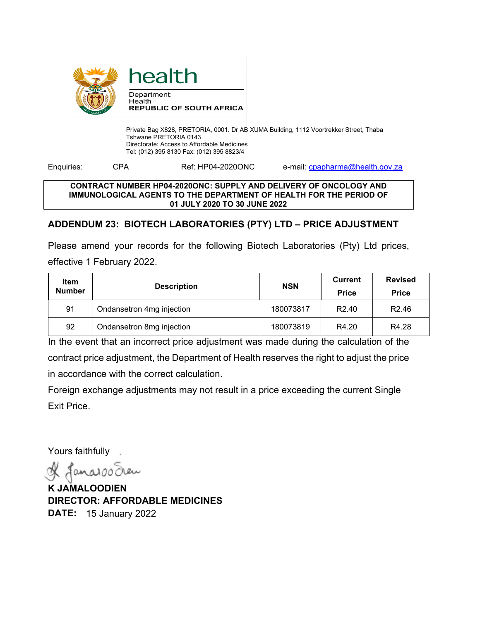

Department: Health **REPUBLIC OF SOUTH AFRICA** 

health

Private Bag X828, PRETORIA, 0001. Dr AB XUMA Building, 1112 Voortrekker Street, Thaba Tshwane PRETORIA 0143 Directorate: Access to Affordable Medicines Tel: (012) 395 8130 Fax: (012) 395 8823/4

Enquiries: CPA Ref: HP04-2020ONC e-mail: cpapharma@health.gov.za

### **CONTRACT NUMBER HP04-2020ONC: SUPPLY AND DELIVERY OF ONCOLOGY AND IMMUNOLOGICAL AGENTS TO THE DEPARTMENT OF HEALTH FOR THE PERIOD OF 01 JULY 2020 TO 30 JUNE 2022**

# **ADDENDUM 23: BIOTECH LABORATORIES (PTY) LTD – PRICE ADJUSTMENT**

Please amend your records for the following Biotech Laboratories (Pty) Ltd prices, effective 1 February 2022.

| Item<br><b>Number</b> | <b>Description</b>        | <b>NSN</b> | <b>Current</b><br><b>Price</b> | <b>Revised</b><br><b>Price</b> |
|-----------------------|---------------------------|------------|--------------------------------|--------------------------------|
| 91                    | Ondansetron 4mg injection | 180073817  | R <sub>2.40</sub>              | R <sub>2.46</sub>              |
| 92                    | Ondansetron 8mg injection | 180073819  | R4.20                          | R4.28                          |

In the event that an incorrect price adjustment was made during the calculation of the contract price adjustment, the Department of Health reserves the right to adjust the price in accordance with the correct calculation.

Foreign exchange adjustments may not result in a price exceeding the current Single Exit Price.

Yours faithfully

Janarooc

**K JAMALOODIEN DIRECTOR: AFFORDABLE MEDICINES DATE:** 15 January 2022